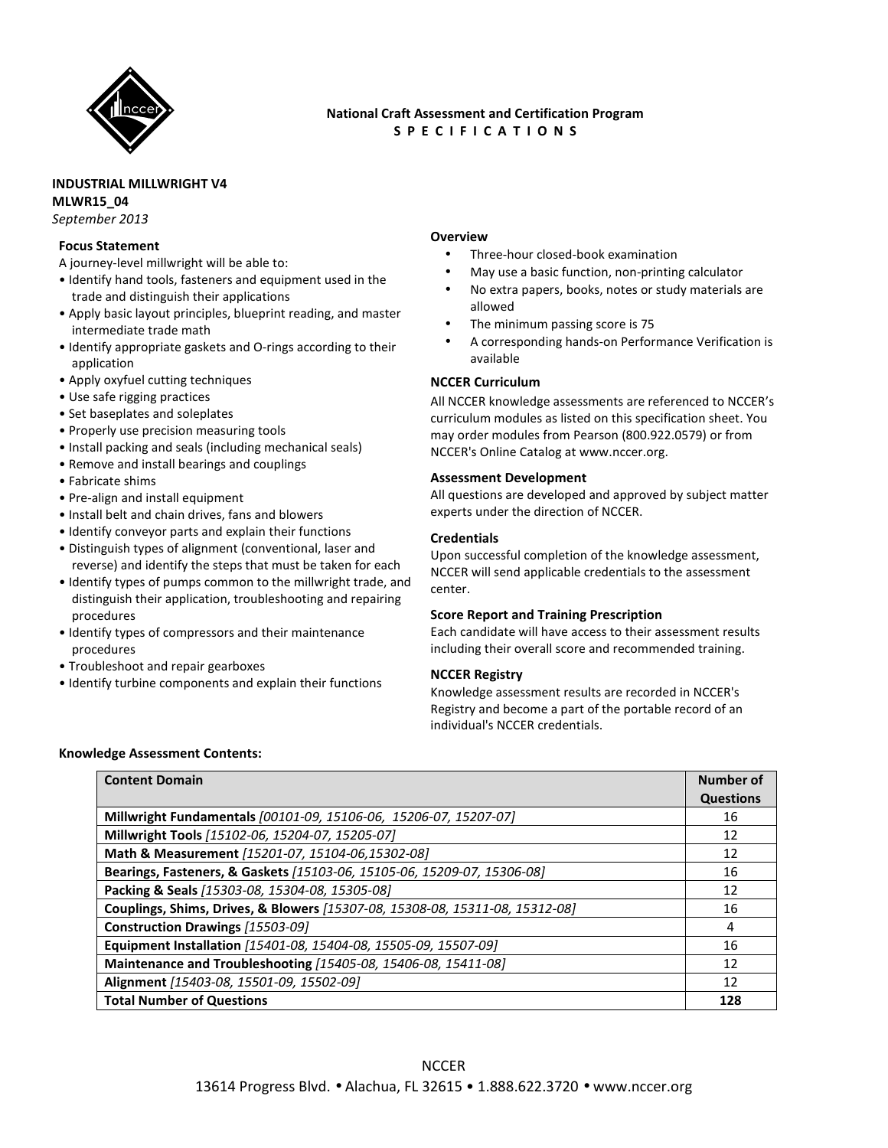

# **National Craft Assessment and Certification Program S P E C I F I C A T I O N S**

# **INDUSTRIAL MILLWRIGHT V4**

**MLWR15\_04** 

*September 2013* 

### **Focus Statement**

A journey-level millwright will be able to:

- Identify hand tools, fasteners and equipment used in the trade and distinguish their applications
- Apply basic layout principles, blueprint reading, and master intermediate trade math
- Identify appropriate gaskets and O-rings according to their application
- Apply oxyfuel cutting techniques
- Use safe rigging practices
- Set baseplates and soleplates
- Properly use precision measuring tools
- Install packing and seals (including mechanical seals)
- Remove and install bearings and couplings
- Fabricate shims
- Pre-align and install equipment
- Install belt and chain drives, fans and blowers
- Identify conveyor parts and explain their functions
- Distinguish types of alignment (conventional, laser and reverse) and identify the steps that must be taken for each
- Identify types of pumps common to the millwright trade, and distinguish their application, troubleshooting and repairing procedures
- Identify types of compressors and their maintenance procedures
- Troubleshoot and repair gearboxes
- Identify turbine components and explain their functions

# **Overview**

- Three-hour closed-book examination
- May use a basic function, non-printing calculator
- No extra papers, books, notes or study materials are allowed
- The minimum passing score is 75
- A corresponding hands-on Performance Verification is available

## **NCCER Curriculum**

All NCCER knowledge assessments are referenced to NCCER's curriculum modules as listed on this specification sheet. You may order modules from Pearson (800.922.0579) or from NCCER's Online Catalog at www.nccer.org.

#### **Assessment Development**

All questions are developed and approved by subject matter experts under the direction of NCCER.

#### **Credentials**

Upon successful completion of the knowledge assessment, NCCER will send applicable credentials to the assessment center.

## **Score Report and Training Prescription**

Each candidate will have access to their assessment results including their overall score and recommended training.

## **NCCER Registry**

Knowledge assessment results are recorded in NCCER's Registry and become a part of the portable record of an individual's NCCER credentials.

#### **Knowledge Assessment Contents:**

| <b>Content Domain</b>                                                        | Number of        |
|------------------------------------------------------------------------------|------------------|
|                                                                              | <b>Questions</b> |
| Millwright Fundamentals [00101-09, 15106-06, 15206-07, 15207-07]             | 16               |
| Millwright Tools [15102-06, 15204-07, 15205-07]                              | 12               |
| Math & Measurement [15201-07, 15104-06,15302-08]                             | 12               |
| Bearings, Fasteners, & Gaskets [15103-06, 15105-06, 15209-07, 15306-08]      | 16               |
| Packing & Seals [15303-08, 15304-08, 15305-08]                               | 12               |
| Couplings, Shims, Drives, & Blowers [15307-08, 15308-08, 15311-08, 15312-08] | 16               |
| Construction Drawings [15503-09]                                             | 4                |
| Equipment Installation [15401-08, 15404-08, 15505-09, 15507-09]              | 16               |
| Maintenance and Troubleshooting [15405-08, 15406-08, 15411-08]               | 12               |
| Alignment [15403-08, 15501-09, 15502-09]                                     | 12               |
| <b>Total Number of Questions</b>                                             | 128              |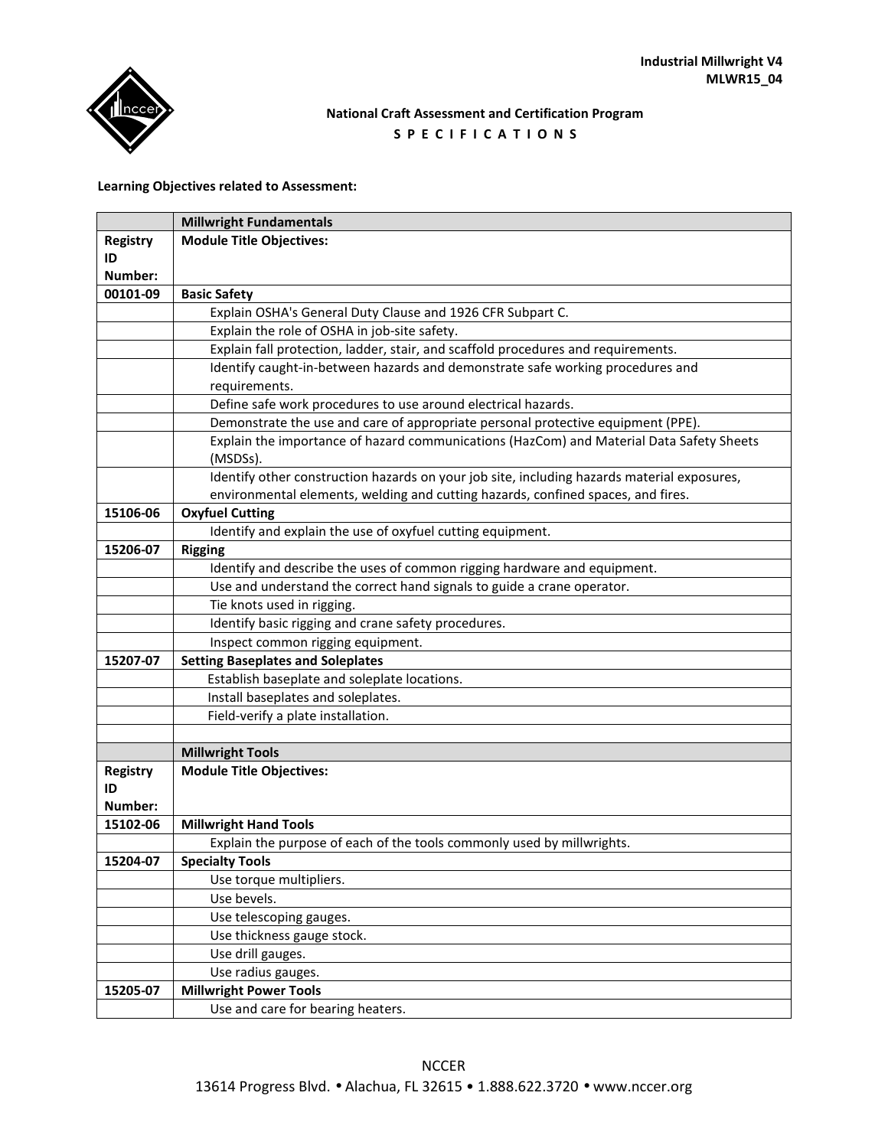

# **National Craft Assessment and Certification Program S P E C I F I C A T I O N S**

# **Learning Objectives related to Assessment:**

|                 | <b>Millwright Fundamentals</b>                                                                       |
|-----------------|------------------------------------------------------------------------------------------------------|
| <b>Registry</b> | <b>Module Title Objectives:</b>                                                                      |
| ID              |                                                                                                      |
| Number:         |                                                                                                      |
| 00101-09        | <b>Basic Safety</b>                                                                                  |
|                 | Explain OSHA's General Duty Clause and 1926 CFR Subpart C.                                           |
|                 | Explain the role of OSHA in job-site safety.                                                         |
|                 | Explain fall protection, ladder, stair, and scaffold procedures and requirements.                    |
|                 | Identify caught-in-between hazards and demonstrate safe working procedures and                       |
|                 | requirements.                                                                                        |
|                 | Define safe work procedures to use around electrical hazards.                                        |
|                 | Demonstrate the use and care of appropriate personal protective equipment (PPE).                     |
|                 | Explain the importance of hazard communications (HazCom) and Material Data Safety Sheets<br>(MSDSs). |
|                 | Identify other construction hazards on your job site, including hazards material exposures,          |
|                 | environmental elements, welding and cutting hazards, confined spaces, and fires.                     |
| 15106-06        | <b>Oxyfuel Cutting</b>                                                                               |
|                 | Identify and explain the use of oxyfuel cutting equipment.                                           |
| 15206-07        | <b>Rigging</b>                                                                                       |
|                 | Identify and describe the uses of common rigging hardware and equipment.                             |
|                 | Use and understand the correct hand signals to guide a crane operator.                               |
|                 | Tie knots used in rigging.                                                                           |
|                 | Identify basic rigging and crane safety procedures.                                                  |
|                 | Inspect common rigging equipment.                                                                    |
| 15207-07        | <b>Setting Baseplates and Soleplates</b>                                                             |
|                 | Establish baseplate and soleplate locations.                                                         |
|                 | Install baseplates and soleplates.                                                                   |
|                 | Field-verify a plate installation.                                                                   |
|                 |                                                                                                      |
|                 | <b>Millwright Tools</b>                                                                              |
| <b>Registry</b> | <b>Module Title Objectives:</b>                                                                      |
| ID              |                                                                                                      |
| Number:         |                                                                                                      |
| 15102-06        | <b>Millwright Hand Tools</b>                                                                         |
|                 | Explain the purpose of each of the tools commonly used by millwrights.                               |
| 15204-07        | <b>Specialty Tools</b>                                                                               |
|                 | Use torque multipliers.                                                                              |
|                 | Use bevels.                                                                                          |
|                 | Use telescoping gauges.<br>Use thickness gauge stock.                                                |
|                 |                                                                                                      |
|                 | Use drill gauges.<br>Use radius gauges.                                                              |
| 15205-07        | <b>Millwright Power Tools</b>                                                                        |
|                 | Use and care for bearing heaters.                                                                    |
|                 |                                                                                                      |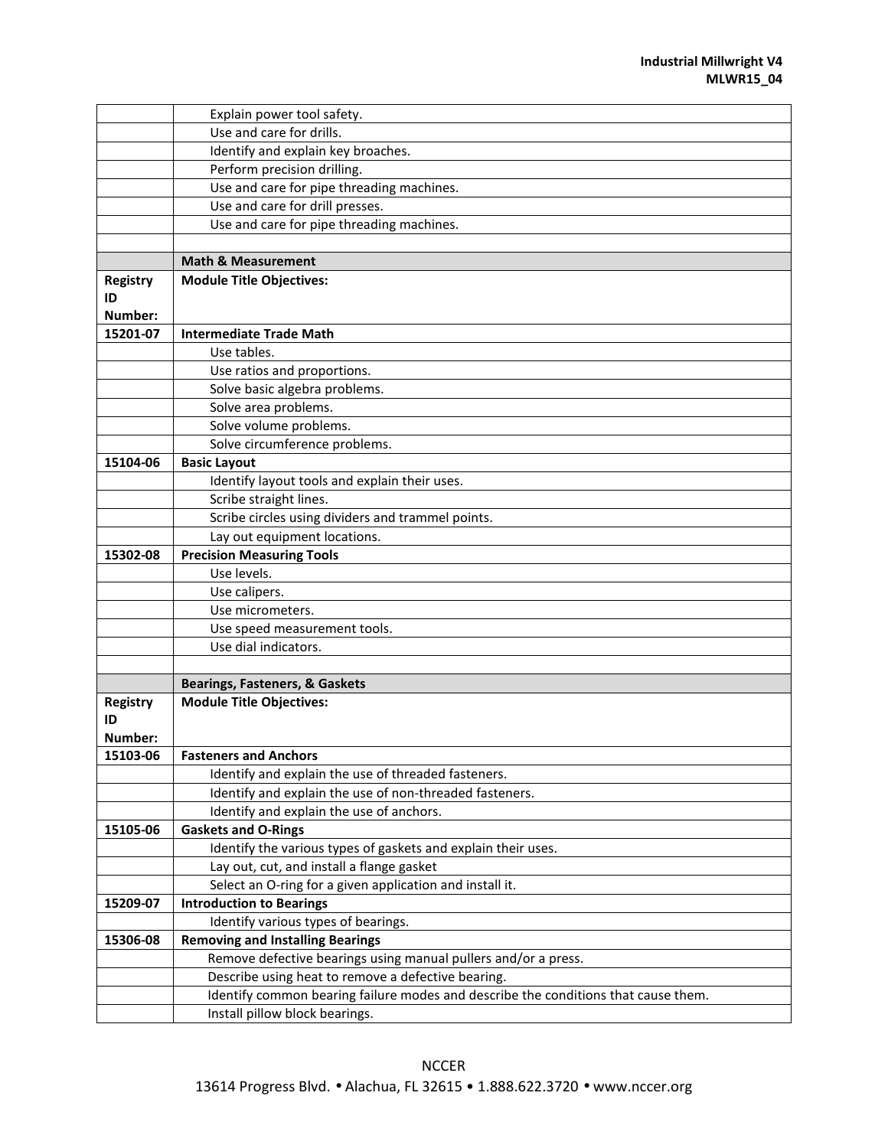|                 | Explain power tool safety.                                                         |
|-----------------|------------------------------------------------------------------------------------|
|                 | Use and care for drills.                                                           |
|                 | Identify and explain key broaches.                                                 |
|                 | Perform precision drilling.                                                        |
|                 | Use and care for pipe threading machines.                                          |
|                 | Use and care for drill presses.                                                    |
|                 | Use and care for pipe threading machines.                                          |
|                 |                                                                                    |
|                 | <b>Math &amp; Measurement</b>                                                      |
| <b>Registry</b> | <b>Module Title Objectives:</b>                                                    |
| ID              |                                                                                    |
| Number:         |                                                                                    |
| 15201-07        | <b>Intermediate Trade Math</b>                                                     |
|                 | Use tables.                                                                        |
|                 | Use ratios and proportions.                                                        |
|                 | Solve basic algebra problems.                                                      |
|                 | Solve area problems.                                                               |
|                 | Solve volume problems.                                                             |
|                 | Solve circumference problems.                                                      |
| 15104-06        | <b>Basic Layout</b>                                                                |
|                 | Identify layout tools and explain their uses.                                      |
|                 | Scribe straight lines.                                                             |
|                 | Scribe circles using dividers and trammel points.                                  |
|                 | Lay out equipment locations.                                                       |
| 15302-08        | <b>Precision Measuring Tools</b>                                                   |
|                 | Use levels.                                                                        |
|                 | Use calipers.                                                                      |
|                 | Use micrometers.                                                                   |
|                 | Use speed measurement tools.                                                       |
|                 | Use dial indicators.                                                               |
|                 |                                                                                    |
|                 | <b>Bearings, Fasteners, &amp; Gaskets</b>                                          |
| <b>Registry</b> | <b>Module Title Objectives:</b>                                                    |
| ID              |                                                                                    |
| Number:         |                                                                                    |
| 15103-06        | <b>Fasteners and Anchors</b>                                                       |
|                 | Identify and explain the use of threaded fasteners.                                |
|                 | Identify and explain the use of non-threaded fasteners.                            |
|                 | Identify and explain the use of anchors.                                           |
| 15105-06        | <b>Gaskets and O-Rings</b>                                                         |
|                 | Identify the various types of gaskets and explain their uses.                      |
|                 | Lay out, cut, and install a flange gasket                                          |
|                 | Select an O-ring for a given application and install it.                           |
| 15209-07        | <b>Introduction to Bearings</b>                                                    |
|                 | Identify various types of bearings.                                                |
| 15306-08        | <b>Removing and Installing Bearings</b>                                            |
|                 | Remove defective bearings using manual pullers and/or a press.                     |
|                 | Describe using heat to remove a defective bearing.                                 |
|                 | Identify common bearing failure modes and describe the conditions that cause them. |
|                 | Install pillow block bearings.                                                     |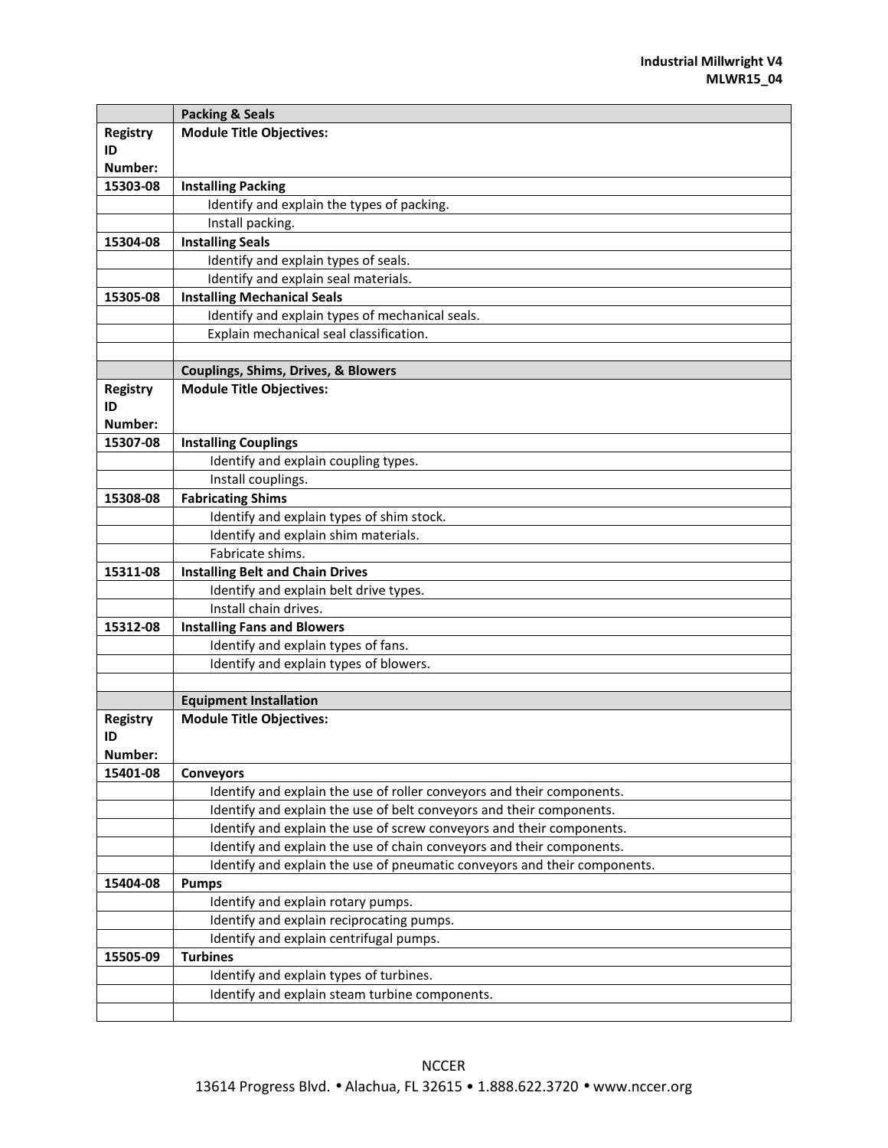|                 | <b>Packing &amp; Seals</b>                                                |
|-----------------|---------------------------------------------------------------------------|
| <b>Registry</b> | <b>Module Title Objectives:</b>                                           |
| ID              |                                                                           |
| Number:         |                                                                           |
| 15303-08        | <b>Installing Packing</b>                                                 |
|                 | Identify and explain the types of packing.                                |
|                 | Install packing.                                                          |
| 15304-08        | <b>Installing Seals</b>                                                   |
|                 | Identify and explain types of seals.                                      |
|                 | Identify and explain seal materials.                                      |
| 15305-08        | <b>Installing Mechanical Seals</b>                                        |
|                 | Identify and explain types of mechanical seals.                           |
|                 | Explain mechanical seal classification.                                   |
|                 |                                                                           |
|                 | Couplings, Shims, Drives, & Blowers                                       |
| Registry        | <b>Module Title Objectives:</b>                                           |
| ID              |                                                                           |
| Number:         |                                                                           |
| 15307-08        | <b>Installing Couplings</b>                                               |
|                 | Identify and explain coupling types.                                      |
|                 | Install couplings.                                                        |
| 15308-08        | <b>Fabricating Shims</b>                                                  |
|                 | Identify and explain types of shim stock.                                 |
|                 | Identify and explain shim materials.                                      |
|                 | Fabricate shims.                                                          |
| 15311-08        | <b>Installing Belt and Chain Drives</b>                                   |
|                 | Identify and explain belt drive types.                                    |
|                 | Install chain drives.                                                     |
| 15312-08        | <b>Installing Fans and Blowers</b>                                        |
|                 | Identify and explain types of fans.                                       |
|                 | Identify and explain types of blowers.                                    |
|                 |                                                                           |
|                 | <b>Equipment Installation</b>                                             |
| <b>Registry</b> | <b>Module Title Objectives:</b>                                           |
| ID              |                                                                           |
| Number:         |                                                                           |
| 15401-08        | <b>Conveyors</b>                                                          |
|                 | Identify and explain the use of roller conveyors and their components.    |
|                 | Identify and explain the use of belt conveyors and their components.      |
|                 | Identify and explain the use of screw conveyors and their components.     |
|                 | Identify and explain the use of chain conveyors and their components.     |
|                 | Identify and explain the use of pneumatic conveyors and their components. |
| 15404-08        | <b>Pumps</b>                                                              |
|                 | Identify and explain rotary pumps.                                        |
|                 | Identify and explain reciprocating pumps.                                 |
|                 | Identify and explain centrifugal pumps.                                   |
| 15505-09        | <b>Turbines</b>                                                           |
|                 | Identify and explain types of turbines.                                   |
|                 | Identify and explain steam turbine components.                            |
|                 |                                                                           |